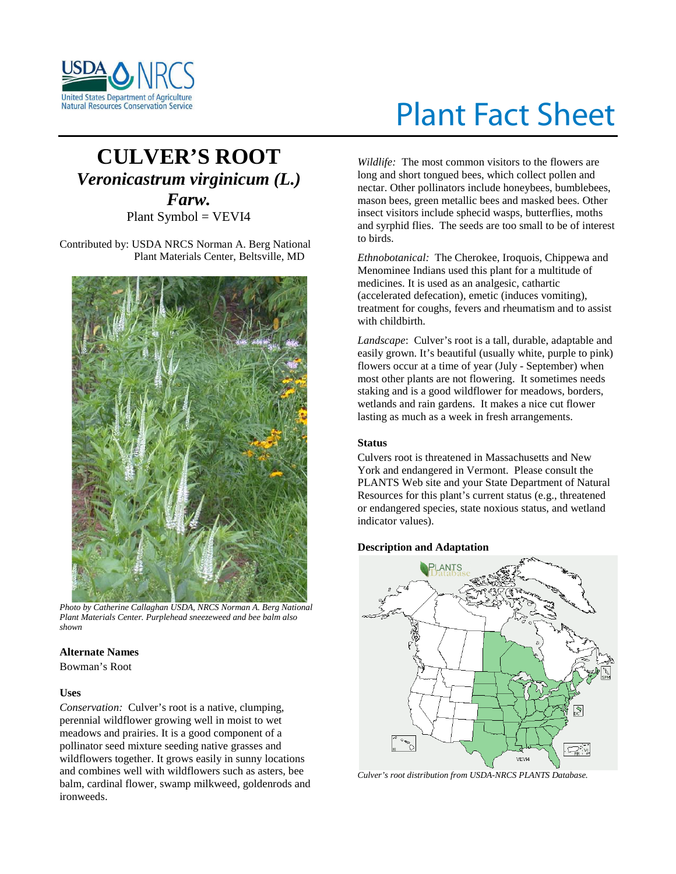

# **CULVER'S ROOT** *Veronicastrum virginicum (L.) Farw.* Plant Symbol = VEVI4

Contributed by: USDA NRCS Norman A. Berg National Plant Materials Center, Beltsville, MD



*Photo by Catherine Callaghan USDA, NRCS Norman A. Berg National Plant Materials Center. Purplehead sneezeweed and bee balm also shown*

# **Alternate Names**

Bowman's Root

# **Uses**

*Conservation:* Culver's root is a native, clumping, perennial wildflower growing well in moist to wet meadows and prairies. It is a good component of a pollinator seed mixture seeding native grasses and wildflowers together. It grows easily in sunny locations and combines well with wildflowers such as asters, bee balm, cardinal flower, swamp milkweed, goldenrods and ironweeds.

# Plant Fact Sheet

*Wildlife:* The most common visitors to the flowers are long and short tongued bees, which collect pollen and nectar. Other pollinators include honeybees, bumblebees, mason bees, green metallic bees and masked bees. Other insect visitors include sphecid wasps, butterflies, moths and syrphid flies. The seeds are too small to be of interest to birds.

*Ethnobotanical:* The Cherokee, Iroquois, Chippewa and Menominee Indians used this plant for a multitude of medicines. It is used as an analgesic, cathartic (accelerated defecation), emetic (induces vomiting), treatment for coughs, fevers and rheumatism and to assist with childbirth.

*Landscape*: Culver's root is a tall, durable, adaptable and easily grown. It's beautiful (usually white, purple to pink) flowers occur at a time of year (July - September) when most other plants are not flowering. It sometimes needs staking and is a good wildflower for meadows, borders, wetlands and rain gardens. It makes a nice cut flower lasting as much as a week in fresh arrangements.

# **Status**

Culvers root is threatened in Massachusetts and New York and endangered in Vermont. Please consult the PLANTS Web site and your State Department of Natural Resources for this plant's current status (e.g., threatened or endangered species, state noxious status, and wetland indicator values).

# **Description and Adaptation**



*Culver's root distribution from USDA-NRCS PLANTS Database.*